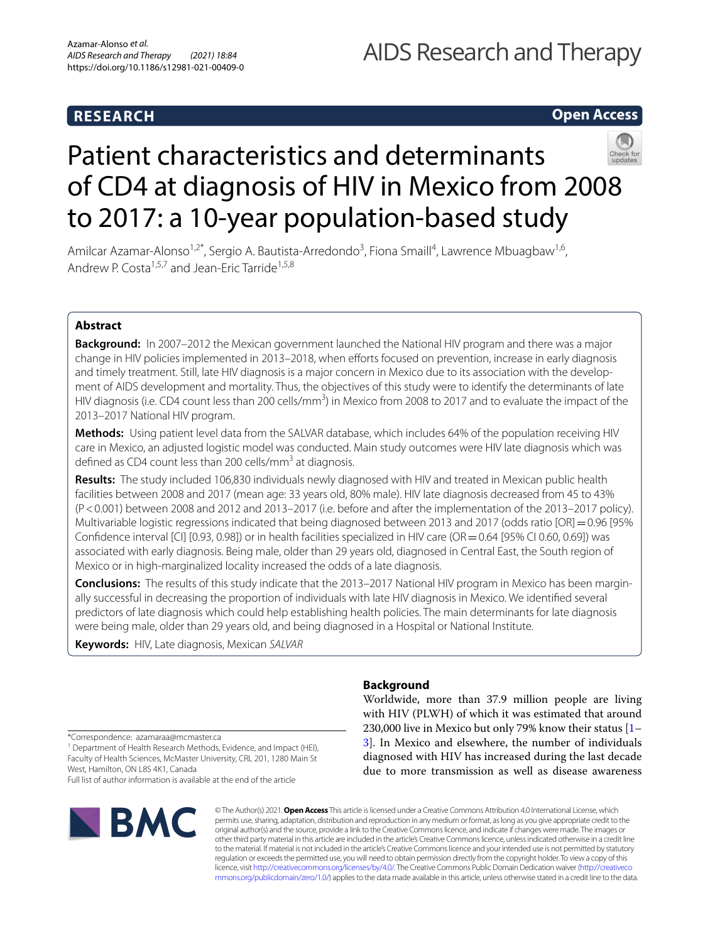# **RESEARCH**

# AIDS Research and Therapy

## **Open Access**



# Patient characteristics and determinants of CD4 at diagnosis of HIV in Mexico from 2008 to 2017: a 10‑year population‑based study

Amilcar Azamar-Alonso<sup>1,2\*</sup>, Sergio A. Bautista-Arredondo<sup>3</sup>, Fiona Smaill<sup>4</sup>, Lawrence Mbuagbaw<sup>1,6</sup>, Andrew P. Costa<sup>1,5,7</sup> and Jean-Eric Tarride<sup>1,5,8</sup>

### **Abstract**

**Background:** In 2007–2012 the Mexican government launched the National HIV program and there was a major change in HIV policies implemented in 2013–2018, when eforts focused on prevention, increase in early diagnosis and timely treatment. Still, late HIV diagnosis is a major concern in Mexico due to its association with the development of AIDS development and mortality. Thus, the objectives of this study were to identify the determinants of late HIV diagnosis (i.e. CD4 count less than 200 cells/mm<sup>3</sup>) in Mexico from 2008 to 2017 and to evaluate the impact of the 2013–2017 National HIV program.

**Methods:** Using patient level data from the SALVAR database, which includes 64% of the population receiving HIV care in Mexico, an adjusted logistic model was conducted. Main study outcomes were HIV late diagnosis which was defined as CD4 count less than 200 cells/mm<sup>3</sup> at diagnosis.

**Results:** The study included 106,830 individuals newly diagnosed with HIV and treated in Mexican public health facilities between 2008 and 2017 (mean age: 33 years old, 80% male). HIV late diagnosis decreased from 45 to 43% (P<0.001) between 2008 and 2012 and 2013–2017 (i.e. before and after the implementation of the 2013–2017 policy). Multivariable logistic regressions indicated that being diagnosed between 2013 and 2017 (odds ratio [OR] = 0.96 [95% Confdence interval [CI] [0.93, 0.98]) or in health facilities specialized in HIV care (OR=0.64 [95% CI 0.60, 0.69]) was associated with early diagnosis. Being male, older than 29 years old, diagnosed in Central East, the South region of Mexico or in high-marginalized locality increased the odds of a late diagnosis.

**Conclusions:** The results of this study indicate that the 2013–2017 National HIV program in Mexico has been margin‑ ally successful in decreasing the proportion of individuals with late HIV diagnosis in Mexico. We identifed several predictors of late diagnosis which could help establishing health policies. The main determinants for late diagnosis were being male, older than 29 years old, and being diagnosed in a Hospital or National Institute.

**Keywords:** HIV, Late diagnosis, Mexican *SALVAR*

\*Correspondence: azamaraa@mcmaster.ca

<sup>1</sup> Department of Health Research Methods, Evidence, and Impact (HEI), Faculty of Health Sciences, McMaster University, CRL 201, 1280 Main St West, Hamilton, ON L8S 4K1, Canada Full list of author information is available at the end of the article

**BMC** 

### **Background**

Worldwide, more than 37.9 million people are living with HIV (PLWH) of which it was estimated that around 230,000 live in Mexico but only 79% know their status [[1–](#page-7-0) [3\]](#page-8-0). In Mexico and elsewhere, the number of individuals diagnosed with HIV has increased during the last decade due to more transmission as well as disease awareness

© The Author(s) 2021. **Open Access** This article is licensed under a Creative Commons Attribution 4.0 International License, which permits use, sharing, adaptation, distribution and reproduction in any medium or format, as long as you give appropriate credit to the original author(s) and the source, provide a link to the Creative Commons licence, and indicate if changes were made. The images or other third party material in this article are included in the article's Creative Commons licence, unless indicated otherwise in a credit line to the material. If material is not included in the article's Creative Commons licence and your intended use is not permitted by statutory regulation or exceeds the permitted use, you will need to obtain permission directly from the copyright holder. To view a copy of this licence, visit [http://creativecommons.org/licenses/by/4.0/.](http://creativecommons.org/licenses/by/4.0/) The Creative Commons Public Domain Dedication waiver ([http://creativeco](http://creativecommons.org/publicdomain/zero/1.0/) [mmons.org/publicdomain/zero/1.0/](http://creativecommons.org/publicdomain/zero/1.0/)) applies to the data made available in this article, unless otherwise stated in a credit line to the data.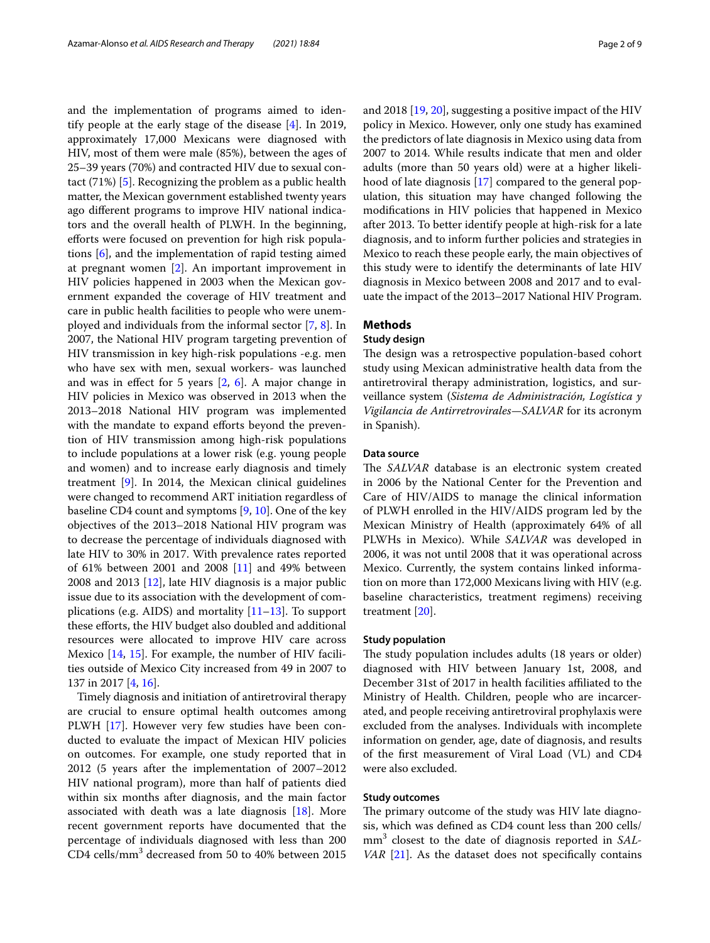and the implementation of programs aimed to identify people at the early stage of the disease [[4\]](#page-8-1). In 2019, approximately 17,000 Mexicans were diagnosed with HIV, most of them were male (85%), between the ages of 25–39 years (70%) and contracted HIV due to sexual contact (71%) [[5\]](#page-8-2). Recognizing the problem as a public health matter, the Mexican government established twenty years ago diferent programs to improve HIV national indicators and the overall health of PLWH. In the beginning, efforts were focused on prevention for high risk populations [\[6](#page-8-3)], and the implementation of rapid testing aimed at pregnant women [[2\]](#page-8-4). An important improvement in HIV policies happened in 2003 when the Mexican government expanded the coverage of HIV treatment and care in public health facilities to people who were unemployed and individuals from the informal sector [\[7,](#page-8-5) [8\]](#page-8-6). In 2007, the National HIV program targeting prevention of HIV transmission in key high-risk populations -e.g. men who have sex with men, sexual workers- was launched and was in efect for 5 years [[2,](#page-8-4) [6\]](#page-8-3). A major change in HIV policies in Mexico was observed in 2013 when the 2013–2018 National HIV program was implemented with the mandate to expand efforts beyond the prevention of HIV transmission among high-risk populations to include populations at a lower risk (e.g. young people and women) and to increase early diagnosis and timely treatment [[9\]](#page-8-7). In 2014, the Mexican clinical guidelines were changed to recommend ART initiation regardless of baseline CD4 count and symptoms [\[9](#page-8-7), [10](#page-8-8)]. One of the key objectives of the 2013–2018 National HIV program was to decrease the percentage of individuals diagnosed with late HIV to 30% in 2017. With prevalence rates reported of 61% between 2001 and 2008 [[11\]](#page-8-9) and 49% between 2008 and 2013 [\[12](#page-8-10)], late HIV diagnosis is a major public issue due to its association with the development of complications (e.g. AIDS) and mortality [[11](#page-8-9)[–13](#page-8-11)]. To support these eforts, the HIV budget also doubled and additional resources were allocated to improve HIV care across Mexico [\[14](#page-8-12), [15](#page-8-13)]. For example, the number of HIV facilities outside of Mexico City increased from 49 in 2007 to 137 in 2017 [\[4](#page-8-1), [16\]](#page-8-14).

Timely diagnosis and initiation of antiretroviral therapy are crucial to ensure optimal health outcomes among PLWH [[17\]](#page-8-15). However very few studies have been conducted to evaluate the impact of Mexican HIV policies on outcomes. For example, one study reported that in 2012 (5 years after the implementation of 2007–2012 HIV national program), more than half of patients died within six months after diagnosis, and the main factor associated with death was a late diagnosis [\[18](#page-8-16)]. More recent government reports have documented that the percentage of individuals diagnosed with less than 200 CD4 cells/ $\text{mm}^3$  decreased from 50 to 40% between 2015 and 2018 [\[19](#page-8-17), [20](#page-8-18)], suggesting a positive impact of the HIV policy in Mexico. However, only one study has examined the predictors of late diagnosis in Mexico using data from 2007 to 2014. While results indicate that men and older adults (more than 50 years old) were at a higher likelihood of late diagnosis [[17](#page-8-15)] compared to the general population, this situation may have changed following the modifcations in HIV policies that happened in Mexico after 2013. To better identify people at high-risk for a late diagnosis, and to inform further policies and strategies in Mexico to reach these people early, the main objectives of this study were to identify the determinants of late HIV diagnosis in Mexico between 2008 and 2017 and to evaluate the impact of the 2013–2017 National HIV Program.

#### **Methods**

#### **Study design**

The design was a retrospective population-based cohort study using Mexican administrative health data from the antiretroviral therapy administration, logistics, and surveillance system (*Sistema de Administración, Logística y Vigilancia de Antirretrovirales—SALVAR* for its acronym in Spanish).

#### **Data source**

The *SALVAR* database is an electronic system created in 2006 by the National Center for the Prevention and Care of HIV/AIDS to manage the clinical information of PLWH enrolled in the HIV/AIDS program led by the Mexican Ministry of Health (approximately 64% of all PLWHs in Mexico). While *SALVAR* was developed in 2006, it was not until 2008 that it was operational across Mexico. Currently, the system contains linked information on more than 172,000 Mexicans living with HIV (e.g. baseline characteristics, treatment regimens) receiving treatment [[20](#page-8-18)].

#### **Study population**

The study population includes adults (18 years or older) diagnosed with HIV between January 1st, 2008, and December 31st of 2017 in health facilities afliated to the Ministry of Health. Children, people who are incarcerated, and people receiving antiretroviral prophylaxis were excluded from the analyses. Individuals with incomplete information on gender, age, date of diagnosis, and results of the frst measurement of Viral Load (VL) and CD4 were also excluded.

#### **Study outcomes**

The primary outcome of the study was HIV late diagnosis, which was defned as CD4 count less than 200 cells/ mm3 closest to the date of diagnosis reported in *SAL-VAR* [[21](#page-8-19)]. As the dataset does not specifically contains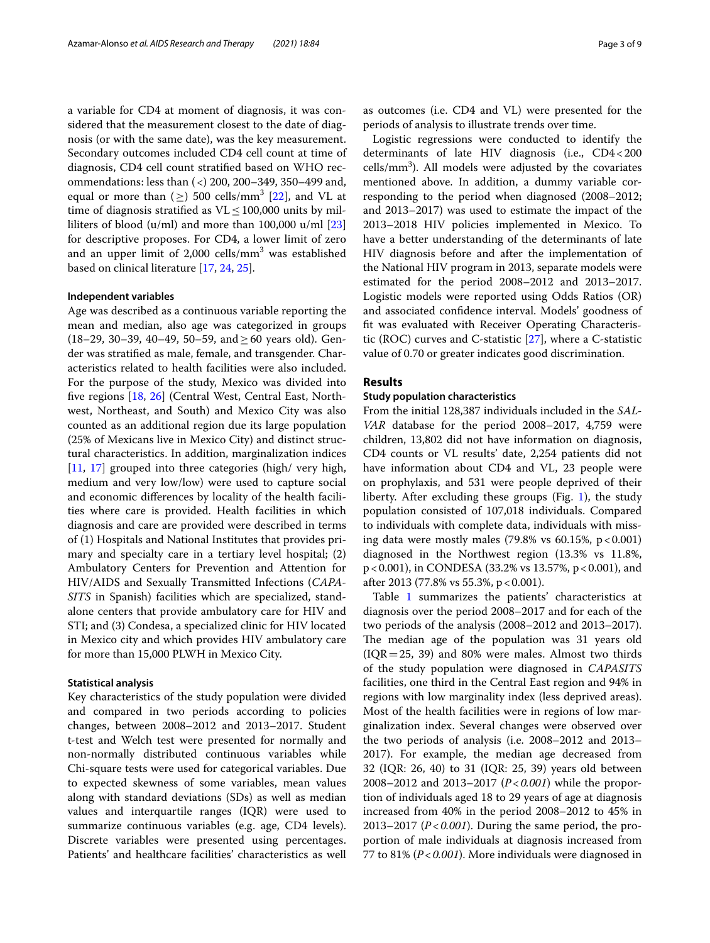a variable for CD4 at moment of diagnosis, it was considered that the measurement closest to the date of diagnosis (or with the same date), was the key measurement. Secondary outcomes included CD4 cell count at time of diagnosis, CD4 cell count stratifed based on WHO recommendations: less than (<) 200, 200–349, 350–499 and, equal or more than  $(\geq)$  500 cells/mm<sup>3</sup> [[22](#page-8-20)], and VL at time of diagnosis stratified as  $VL \le 100,000$  units by milliliters of blood  $(u/ml)$  and more than 100,000  $u/ml$  [[23](#page-8-21)] for descriptive proposes. For CD4, a lower limit of zero and an upper limit of 2,000 cells/ $\text{mm}^3$  was established based on clinical literature [\[17,](#page-8-15) [24](#page-8-22), [25\]](#page-8-23).

#### **Independent variables**

Age was described as a continuous variable reporting the mean and median, also age was categorized in groups (18–29, 30–39, 40–49, 50–59, and ≥ 60 years old). Gender was stratifed as male, female, and transgender. Characteristics related to health facilities were also included. For the purpose of the study, Mexico was divided into fve regions [[18](#page-8-16), [26\]](#page-8-24) (Central West, Central East, Northwest, Northeast, and South) and Mexico City was also counted as an additional region due its large population (25% of Mexicans live in Mexico City) and distinct structural characteristics. In addition, marginalization indices [[11,](#page-8-9) [17](#page-8-15)] grouped into three categories (high/ very high, medium and very low/low) were used to capture social and economic diferences by locality of the health facilities where care is provided. Health facilities in which diagnosis and care are provided were described in terms of (1) Hospitals and National Institutes that provides primary and specialty care in a tertiary level hospital; (2) Ambulatory Centers for Prevention and Attention for HIV/AIDS and Sexually Transmitted Infections (*CAPA-SITS* in Spanish) facilities which are specialized, standalone centers that provide ambulatory care for HIV and STI; and (3) Condesa, a specialized clinic for HIV located in Mexico city and which provides HIV ambulatory care for more than 15,000 PLWH in Mexico City.

#### **Statistical analysis**

Key characteristics of the study population were divided and compared in two periods according to policies changes, between 2008–2012 and 2013–2017. Student t-test and Welch test were presented for normally and non-normally distributed continuous variables while Chi-square tests were used for categorical variables. Due to expected skewness of some variables, mean values along with standard deviations (SDs) as well as median values and interquartile ranges (IQR) were used to summarize continuous variables (e.g. age, CD4 levels). Discrete variables were presented using percentages. Patients' and healthcare facilities' characteristics as well as outcomes (i.e. CD4 and VL) were presented for the periods of analysis to illustrate trends over time.

Logistic regressions were conducted to identify the determinants of late HIV diagnosis (i.e., CD4<200  $cells/mm<sup>3</sup>$ ). All models were adjusted by the covariates mentioned above. In addition, a dummy variable corresponding to the period when diagnosed (2008–2012; and 2013–2017) was used to estimate the impact of the 2013–2018 HIV policies implemented in Mexico. To have a better understanding of the determinants of late HIV diagnosis before and after the implementation of the National HIV program in 2013, separate models were estimated for the period 2008–2012 and 2013–2017. Logistic models were reported using Odds Ratios (OR) and associated confdence interval. Models' goodness of ft was evaluated with Receiver Operating Characteristic (ROC) curves and C-statistic [[27](#page-8-25)], where a C-statistic value of 0.70 or greater indicates good discrimination.

#### **Results**

#### **Study population characteristics**

From the initial 128,387 individuals included in the *SAL-VAR* database for the period 2008–2017, 4,759 were children, 13,802 did not have information on diagnosis, CD4 counts or VL results' date, 2,254 patients did not have information about CD4 and VL, 23 people were on prophylaxis, and 531 were people deprived of their liberty. After excluding these groups (Fig. [1](#page-3-0)), the study population consisted of 107,018 individuals. Compared to individuals with complete data, individuals with missing data were mostly males  $(79.8\% \text{ vs } 60.15\%, \text{ p} < 0.001)$ diagnosed in the Northwest region (13.3% vs 11.8%, p < 0.001), in CONDESA (33.2% vs 13.57%, p < 0.001), and after 2013 (77.8% vs 55.3%, p < 0.001).

Table [1](#page-4-0) summarizes the patients' characteristics at diagnosis over the period 2008–2017 and for each of the two periods of the analysis (2008–2012 and 2013–2017). The median age of the population was 31 years old  $(IQR=25, 39)$  and 80% were males. Almost two thirds of the study population were diagnosed in *CAPASITS* facilities, one third in the Central East region and 94% in regions with low marginality index (less deprived areas). Most of the health facilities were in regions of low marginalization index. Several changes were observed over the two periods of analysis (i.e. 2008–2012 and 2013– 2017). For example, the median age decreased from 32 (IQR: 26, 40) to 31 (IQR: 25, 39) years old between 2008–2012 and 2013–2017 (*P*<*0.001*) while the proportion of individuals aged 18 to 29 years of age at diagnosis increased from 40% in the period 2008–2012 to 45% in 2013–2017 (*P*<*0.001*). During the same period, the proportion of male individuals at diagnosis increased from 77 to 81% (*P*<*0.001*). More individuals were diagnosed in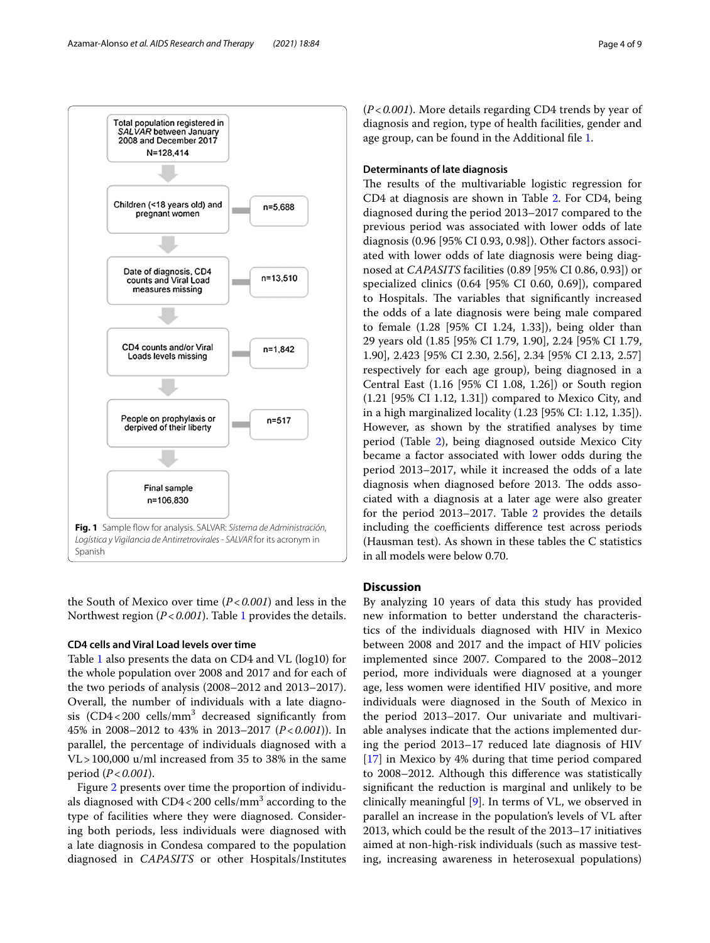

<span id="page-3-0"></span>the South of Mexico over time (*P*<*0.001*) and less in the Northwest region (*P*<*0.001*). Table [1](#page-4-0) provides the details.

#### **CD4 cells and Viral Load levels over time**

Table [1](#page-4-0) also presents the data on CD4 and VL (log10) for the whole population over 2008 and 2017 and for each of the two periods of analysis (2008–2012 and 2013–2017). Overall, the number of individuals with a late diagnosis  $(CD4 < 200$  cells/mm<sup>3</sup> decreased significantly from 45% in 2008–2012 to 43% in 2013–2017 (*P*<*0.001*)). In parallel, the percentage of individuals diagnosed with a VL>100,000 u/ml increased from 35 to 38% in the same period (*P*<*0.001*).

Figure [2](#page-5-0) presents over time the proportion of individuals diagnosed with CD4<200 cells/mm $^3$  according to the type of facilities where they were diagnosed. Considering both periods, less individuals were diagnosed with a late diagnosis in Condesa compared to the population diagnosed in *CAPASITS* or other Hospitals/Institutes

(*P*<*0.001*). More details regarding CD4 trends by year of diagnosis and region, type of health facilities, gender and age group, can be found in the Additional fle [1.](#page-7-1)

#### **Determinants of late diagnosis**

The results of the multivariable logistic regression for CD4 at diagnosis are shown in Table [2](#page-5-1). For CD4, being diagnosed during the period 2013–2017 compared to the previous period was associated with lower odds of late diagnosis (0.96 [95% CI 0.93, 0.98]). Other factors associated with lower odds of late diagnosis were being diagnosed at *CAPASITS* facilities (0.89 [95% CI 0.86, 0.93]) or specialized clinics (0.64 [95% CI 0.60, 0.69]), compared to Hospitals. The variables that significantly increased the odds of a late diagnosis were being male compared to female (1.28 [95% CI 1.24, 1.33]), being older than 29 years old (1.85 [95% CI 1.79, 1.90], 2.24 [95% CI 1.79, 1.90], 2.423 [95% CI 2.30, 2.56], 2.34 [95% CI 2.13, 2.57] respectively for each age group), being diagnosed in a Central East (1.16 [95% CI 1.08, 1.26]) or South region (1.21 [95% CI 1.12, 1.31]) compared to Mexico City, and in a high marginalized locality (1.23 [95% CI: 1.12, 1.35]). However, as shown by the stratifed analyses by time period (Table [2](#page-5-1)), being diagnosed outside Mexico City became a factor associated with lower odds during the period 2013–2017, while it increased the odds of a late diagnosis when diagnosed before 2013. The odds associated with a diagnosis at a later age were also greater for the period 2013–2017. Table [2](#page-5-1) provides the details including the coefficients difference test across periods (Hausman test). As shown in these tables the C statistics in all models were below 0.70.

#### **Discussion**

By analyzing 10 years of data this study has provided new information to better understand the characteristics of the individuals diagnosed with HIV in Mexico between 2008 and 2017 and the impact of HIV policies implemented since 2007. Compared to the 2008–2012 period, more individuals were diagnosed at a younger age, less women were identifed HIV positive, and more individuals were diagnosed in the South of Mexico in the period 2013–2017. Our univariate and multivariable analyses indicate that the actions implemented during the period 2013–17 reduced late diagnosis of HIV [[17\]](#page-8-15) in Mexico by 4% during that time period compared to 2008–2012. Although this diference was statistically signifcant the reduction is marginal and unlikely to be clinically meaningful [\[9](#page-8-7)]. In terms of VL, we observed in parallel an increase in the population's levels of VL after 2013, which could be the result of the 2013–17 initiatives aimed at non-high-risk individuals (such as massive testing, increasing awareness in heterosexual populations)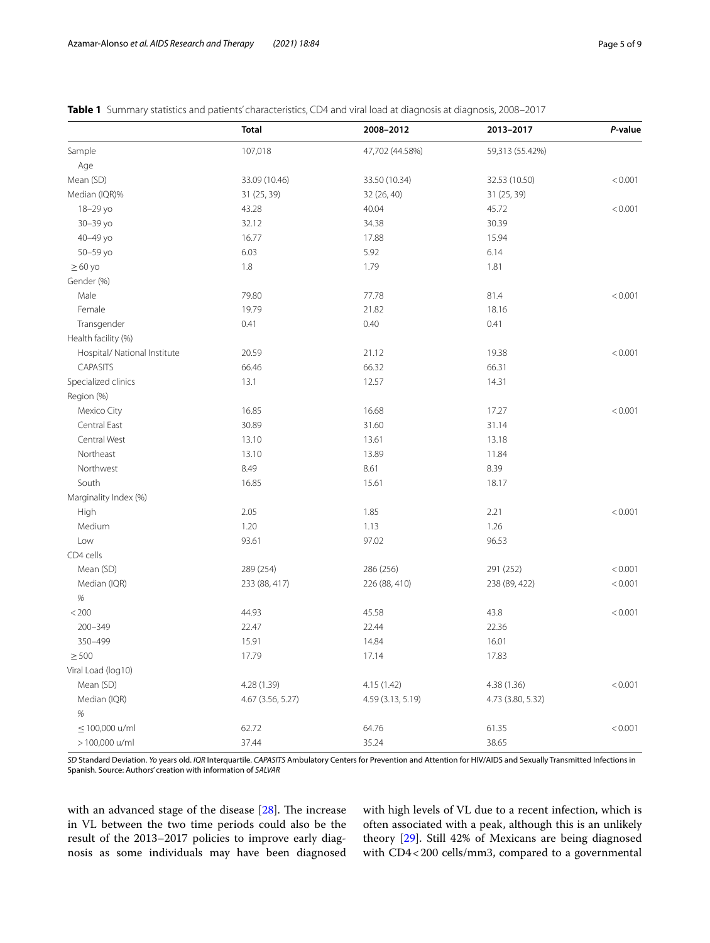<span id="page-4-0"></span>

|  | Table 1 Summary statistics and patients' characteristics, CD4 and viral load at diagnosis at diagnosis, 2008–2017 |
|--|-------------------------------------------------------------------------------------------------------------------|
|  |                                                                                                                   |

|                              | <b>Total</b>      | 2008-2012         | 2013-2017         | P-value |
|------------------------------|-------------------|-------------------|-------------------|---------|
| Sample                       | 107,018           | 47,702 (44.58%)   | 59,313 (55.42%)   |         |
| Age                          |                   |                   |                   |         |
| Mean (SD)                    | 33.09 (10.46)     | 33.50 (10.34)     | 32.53 (10.50)     | < 0.001 |
| Median (IQR)%                | 31 (25, 39)       | 32 (26, 40)       | 31 (25, 39)       |         |
| 18-29 yo                     | 43.28             | 40.04             | 45.72             | < 0.001 |
| 30-39 yo                     | 32.12             | 34.38             | 30.39             |         |
| 40-49 yo                     | 16.77             | 17.88             | 15.94             |         |
| 50-59 yo                     | 6.03              | 5.92              | 6.14              |         |
| $\geq 60$ yo                 | 1.8               | 1.79              | 1.81              |         |
| Gender (%)                   |                   |                   |                   |         |
| Male                         | 79.80             | 77.78             | 81.4              | < 0.001 |
| Female                       | 19.79             | 21.82             | 18.16             |         |
| Transgender                  | 0.41              | 0.40              | 0.41              |         |
| Health facility (%)          |                   |                   |                   |         |
| Hospital/ National Institute | 20.59             | 21.12             | 19.38             | < 0.001 |
| CAPASITS                     | 66.46             | 66.32             | 66.31             |         |
| Specialized clinics          | 13.1              | 12.57             | 14.31             |         |
| Region (%)                   |                   |                   |                   |         |
| Mexico City                  | 16.85             | 16.68             | 17.27             | < 0.001 |
| Central East                 | 30.89             | 31.60             | 31.14             |         |
| Central West                 | 13.10             | 13.61             | 13.18             |         |
| Northeast                    | 13.10             | 13.89             | 11.84             |         |
| Northwest                    | 8.49              | 8.61              | 8.39              |         |
| South                        | 16.85             | 15.61             | 18.17             |         |
| Marginality Index (%)        |                   |                   |                   |         |
| High                         | 2.05              | 1.85              | 2.21              | < 0.001 |
| Medium                       | 1.20              | 1.13              | 1.26              |         |
| Low                          | 93.61             | 97.02             | 96.53             |         |
| CD4 cells                    |                   |                   |                   |         |
| Mean (SD)                    | 289 (254)         | 286 (256)         | 291 (252)         | < 0.001 |
| Median (IQR)                 | 233 (88, 417)     | 226 (88, 410)     | 238 (89, 422)     | < 0.001 |
| $\%$                         |                   |                   |                   |         |
| $< 200$                      | 44.93             | 45.58             | 43.8              | < 0.001 |
| $200 - 349$                  | 22.47             | 22.44             | 22.36             |         |
| 350-499                      | 15.91             | 14.84             | 16.01             |         |
| $\geq$ 500                   | 17.79             | 17.14             | 17.83             |         |
| Viral Load (log10)           |                   |                   |                   |         |
| Mean (SD)                    | 4.28 (1.39)       | 4.15 (1.42)       | 4.38 (1.36)       | < 0.001 |
| Median (IQR)                 | 4.67 (3.56, 5.27) | 4.59 (3.13, 5.19) | 4.73 (3.80, 5.32) |         |
| $\%$                         |                   |                   |                   |         |
| $\leq$ 100,000 u/ml          | 62.72             | 64.76             | 61.35             | < 0.001 |
| > 100,000 u/ml               | 37.44             | 35.24             | 38.65             |         |

*SD* Standard Deviation. *Yo* years old. *IQR* Interquartile. *CAPASITS* Ambulatory Centers for Prevention and Attention for HIV/AIDS and Sexually Transmitted Infections in Spanish. Source: Authors' creation with information of *SALVAR*

with an advanced stage of the disease  $[28]$  $[28]$ . The increase in VL between the two time periods could also be the result of the 2013–2017 policies to improve early diagnosis as some individuals may have been diagnosed with high levels of VL due to a recent infection, which is often associated with a peak, although this is an unlikely theory [[29\]](#page-8-27). Still 42% of Mexicans are being diagnosed with CD4<200 cells/mm3, compared to a governmental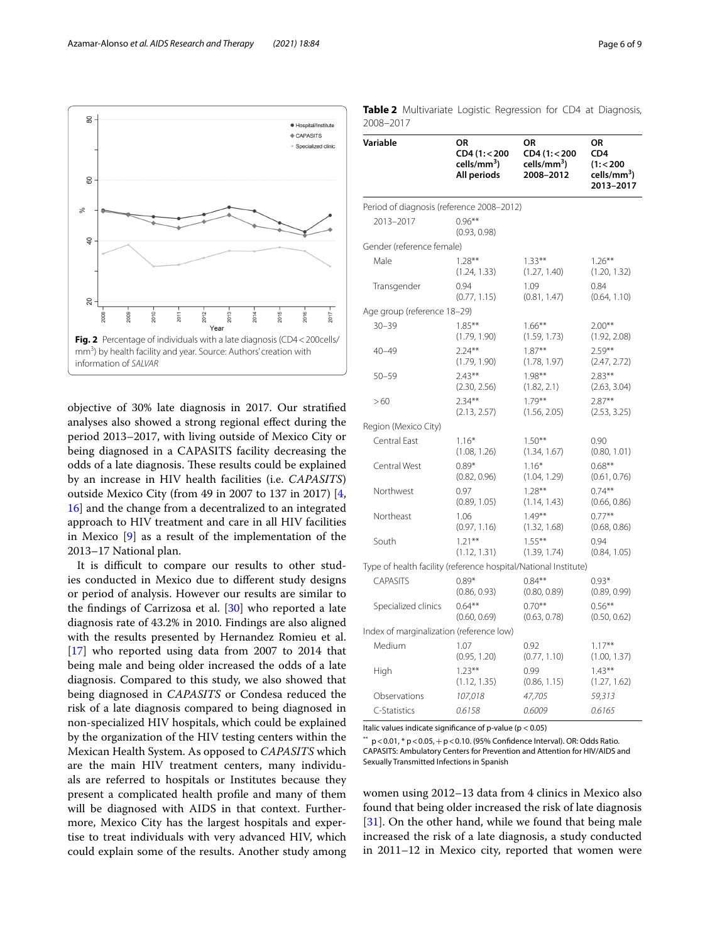

<span id="page-5-0"></span>objective of 30% late diagnosis in 2017. Our stratifed analyses also showed a strong regional efect during the period 2013–2017, with living outside of Mexico City or being diagnosed in a CAPASITS facility decreasing the odds of a late diagnosis. These results could be explained by an increase in HIV health facilities (i.e. *CAPASITS*) outside Mexico City (from 49 in 2007 to 137 in 2017) [\[4](#page-8-1), [16\]](#page-8-14) and the change from a decentralized to an integrated approach to HIV treatment and care in all HIV facilities in Mexico [\[9](#page-8-7)] as a result of the implementation of the 2013–17 National plan.

It is difficult to compare our results to other studies conducted in Mexico due to diferent study designs or period of analysis. However our results are similar to the fndings of Carrizosa et al. [\[30](#page-8-28)] who reported a late diagnosis rate of 43.2% in 2010. Findings are also aligned with the results presented by Hernandez Romieu et al. [[17\]](#page-8-15) who reported using data from 2007 to 2014 that being male and being older increased the odds of a late diagnosis. Compared to this study, we also showed that being diagnosed in *CAPASITS* or Condesa reduced the risk of a late diagnosis compared to being diagnosed in non-specialized HIV hospitals, which could be explained by the organization of the HIV testing centers within the Mexican Health System. As opposed to *CAPASITS* which are the main HIV treatment centers, many individuals are referred to hospitals or Institutes because they present a complicated health profle and many of them will be diagnosed with AIDS in that context. Furthermore, Mexico City has the largest hospitals and expertise to treat individuals with very advanced HIV, which could explain some of the results. Another study among

| Variable                                                        | OR<br>CD4 (1:<200<br>cells/mm <sup>3</sup> )<br>All periods | ΟR<br>CD4 (1:<200<br>cells/mm <sup>3</sup> )<br>2008-2012 | ΟR<br>CD <sub>4</sub><br>(1:200)<br>cells/mm <sup>3</sup> )<br>2013-2017 |
|-----------------------------------------------------------------|-------------------------------------------------------------|-----------------------------------------------------------|--------------------------------------------------------------------------|
| Period of diagnosis (reference 2008-2012)                       |                                                             |                                                           |                                                                          |
| 2013-2017                                                       | $0.96***$<br>(0.93, 0.98)                                   |                                                           |                                                                          |
| Gender (reference female)                                       |                                                             |                                                           |                                                                          |
| Male                                                            | $1.28**$                                                    | $1.33***$                                                 | $1.26***$                                                                |
|                                                                 | (1.24, 1.33)                                                | (1.27, 1.40)                                              | (1.20, 1.32)                                                             |
| Transgender                                                     | 0.94                                                        | 1.09                                                      | 0.84                                                                     |
|                                                                 | (0.77, 1.15)                                                | (0.81, 1.47)                                              | (0.64, 1.10)                                                             |
| Age group (reference 18-29)                                     |                                                             |                                                           |                                                                          |
| $30 - 39$                                                       | $1.85***$                                                   | $1.66***$                                                 | $2.00**$                                                                 |
|                                                                 | (1.79, 1.90)                                                | (1.59, 1.73)                                              | (1.92, 2.08)                                                             |
| $40 - 49$                                                       | $2.24***$                                                   | $1.87***$                                                 | $2.59***$                                                                |
|                                                                 | (1.79, 1.90)                                                | (1.78, 1.97)                                              | (2.47, 2.72)                                                             |
| $50 - 59$                                                       | $2.43***$                                                   | $1.98***$                                                 | $2.83***$                                                                |
|                                                                 | (2.30, 2.56)                                                | (1.82, 2.1)                                               | (2.63, 3.04)                                                             |
| >60                                                             | $2.34***$                                                   | $1.79***$                                                 | $2.87***$                                                                |
|                                                                 | (2.13, 2.57)                                                | (1.56, 2.05)                                              | (2.53, 3.25)                                                             |
| Region (Mexico City)                                            |                                                             |                                                           |                                                                          |
| Central East                                                    | $1.16*$                                                     | $1.50***$                                                 | 0.90                                                                     |
|                                                                 | (1.08, 1.26)                                                | (1.34, 1.67)                                              | (0.80, 1.01)                                                             |
| Central West                                                    | $0.89*$                                                     | $1.16*$                                                   | $0.68**$                                                                 |
|                                                                 | (0.82, 0.96)                                                | (1.04, 1.29)                                              | (0.61, 0.76)                                                             |
| Northwest                                                       | 0.97                                                        | $1.28***$                                                 | $0.74***$                                                                |
|                                                                 | (0.89, 1.05)                                                | (1.14, 1.43)                                              | (0.66, 0.86)                                                             |
| Northeast                                                       | 1.06                                                        | $1.49***$                                                 | $0.77***$                                                                |
|                                                                 | (0.97, 1.16)                                                | (1.32, 1.68)                                              | (0.68, 0.86)                                                             |
| South                                                           | $1.21***$                                                   | $1.55***$                                                 | 0.94                                                                     |
|                                                                 | (1.12, 1.31)                                                | (1.39, 1.74)                                              | (0.84, 1.05)                                                             |
| Type of health facility (reference hospital/National Institute) |                                                             |                                                           |                                                                          |
| <b>CAPASITS</b>                                                 | $0.89*$                                                     | $0.84***$                                                 | $0.93*$                                                                  |
|                                                                 | (0.86, 0.93)                                                | (0.80, 0.89)                                              | (0.89, 0.99)                                                             |
| Specialized clinics                                             | $0.64***$                                                   | $0.70***$                                                 | $0.56***$                                                                |
|                                                                 | (0.60, 0.69)                                                | (0.63, 0.78)                                              | (0.50, 0.62)                                                             |
| Index of marginalization (reference low)                        |                                                             |                                                           |                                                                          |
| Medium                                                          | 1.07                                                        | 0.92                                                      | $1.17***$                                                                |
|                                                                 | (0.95, 1.20)                                                | (0.77, 1.10)                                              | (1.00, 1.37)                                                             |
| High                                                            | $1.23**$                                                    | 0.99                                                      | $1.43***$                                                                |
|                                                                 | (1.12, 1.35)                                                | (0.86, 1.15)                                              | (1.27, 1.62)                                                             |
| Observations                                                    | 107,018                                                     | 47,705                                                    | 59,313                                                                   |
| C-Statistics                                                    | 0.6158                                                      | 0.6009                                                    | 0.6165                                                                   |

<span id="page-5-1"></span>**Table 2** Multivariate Logistic Regression for CD4 at Diagnosis, 2008–2017

Italic values indicate signifcance of p-value (p < 0.05)

p<0.01, \* p<0.05, + p<0.10. (95% Confidence Interval). OR: Odds Ratio. CAPASITS: Ambulatory Centers for Prevention and Attention for HIV/AIDS and Sexually Transmitted Infections in Spanish

women using 2012–13 data from 4 clinics in Mexico also found that being older increased the risk of late diagnosis [[31\]](#page-8-29). On the other hand, while we found that being male increased the risk of a late diagnosis, a study conducted in 2011–12 in Mexico city, reported that women were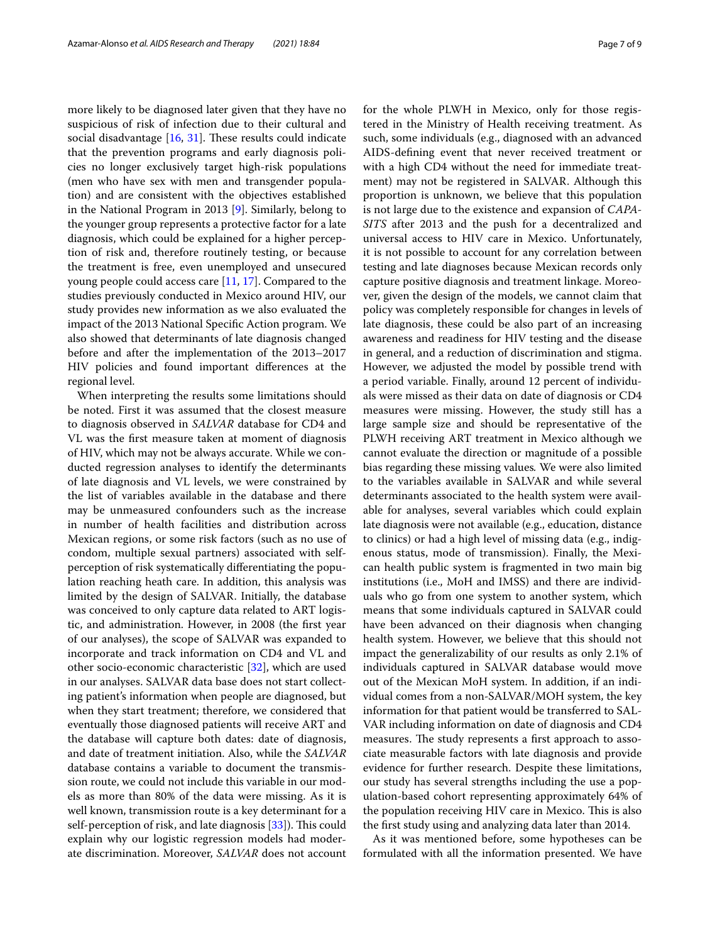more likely to be diagnosed later given that they have no suspicious of risk of infection due to their cultural and social disadvantage  $[16, 31]$  $[16, 31]$  $[16, 31]$  $[16, 31]$ . These results could indicate that the prevention programs and early diagnosis policies no longer exclusively target high-risk populations (men who have sex with men and transgender population) and are consistent with the objectives established in the National Program in 2013 [\[9](#page-8-7)]. Similarly, belong to the younger group represents a protective factor for a late diagnosis, which could be explained for a higher perception of risk and, therefore routinely testing, or because the treatment is free, even unemployed and unsecured young people could access care [\[11,](#page-8-9) [17](#page-8-15)]. Compared to the studies previously conducted in Mexico around HIV, our study provides new information as we also evaluated the impact of the 2013 National Specifc Action program. We also showed that determinants of late diagnosis changed before and after the implementation of the 2013–2017 HIV policies and found important diferences at the regional level.

When interpreting the results some limitations should be noted. First it was assumed that the closest measure to diagnosis observed in *SALVAR* database for CD4 and VL was the frst measure taken at moment of diagnosis of HIV, which may not be always accurate. While we conducted regression analyses to identify the determinants of late diagnosis and VL levels, we were constrained by the list of variables available in the database and there may be unmeasured confounders such as the increase in number of health facilities and distribution across Mexican regions, or some risk factors (such as no use of condom, multiple sexual partners) associated with selfperception of risk systematically diferentiating the population reaching heath care. In addition, this analysis was limited by the design of SALVAR. Initially, the database was conceived to only capture data related to ART logistic, and administration. However, in 2008 (the frst year of our analyses), the scope of SALVAR was expanded to incorporate and track information on CD4 and VL and other socio-economic characteristic [\[32](#page-8-30)], which are used in our analyses. SALVAR data base does not start collecting patient's information when people are diagnosed, but when they start treatment; therefore, we considered that eventually those diagnosed patients will receive ART and the database will capture both dates: date of diagnosis, and date of treatment initiation. Also, while the *SALVAR* database contains a variable to document the transmission route, we could not include this variable in our models as more than 80% of the data were missing. As it is well known, transmission route is a key determinant for a self-perception of risk, and late diagnosis [[33\]](#page-8-31)). This could explain why our logistic regression models had moderate discrimination. Moreover, *SALVAR* does not account for the whole PLWH in Mexico, only for those registered in the Ministry of Health receiving treatment. As such, some individuals (e.g., diagnosed with an advanced AIDS-defning event that never received treatment or with a high CD4 without the need for immediate treatment) may not be registered in SALVAR. Although this proportion is unknown, we believe that this population is not large due to the existence and expansion of *CAPA-SITS* after 2013 and the push for a decentralized and universal access to HIV care in Mexico. Unfortunately, it is not possible to account for any correlation between testing and late diagnoses because Mexican records only capture positive diagnosis and treatment linkage. Moreover, given the design of the models, we cannot claim that policy was completely responsible for changes in levels of late diagnosis, these could be also part of an increasing awareness and readiness for HIV testing and the disease in general, and a reduction of discrimination and stigma. However, we adjusted the model by possible trend with a period variable. Finally, around 12 percent of individuals were missed as their data on date of diagnosis or CD4 measures were missing. However, the study still has a large sample size and should be representative of the PLWH receiving ART treatment in Mexico although we cannot evaluate the direction or magnitude of a possible bias regarding these missing values*.* We were also limited to the variables available in SALVAR and while several determinants associated to the health system were available for analyses, several variables which could explain late diagnosis were not available (e.g., education, distance to clinics) or had a high level of missing data (e.g., indigenous status, mode of transmission). Finally, the Mexican health public system is fragmented in two main big institutions (i.e., MoH and IMSS) and there are individuals who go from one system to another system, which means that some individuals captured in SALVAR could have been advanced on their diagnosis when changing health system. However, we believe that this should not impact the generalizability of our results as only 2.1% of individuals captured in SALVAR database would move out of the Mexican MoH system. In addition, if an individual comes from a non-SALVAR/MOH system, the key information for that patient would be transferred to SAL-VAR including information on date of diagnosis and CD4 measures. The study represents a first approach to associate measurable factors with late diagnosis and provide evidence for further research. Despite these limitations, our study has several strengths including the use a population-based cohort representing approximately 64% of the population receiving HIV care in Mexico. This is also the frst study using and analyzing data later than 2014.

As it was mentioned before, some hypotheses can be formulated with all the information presented. We have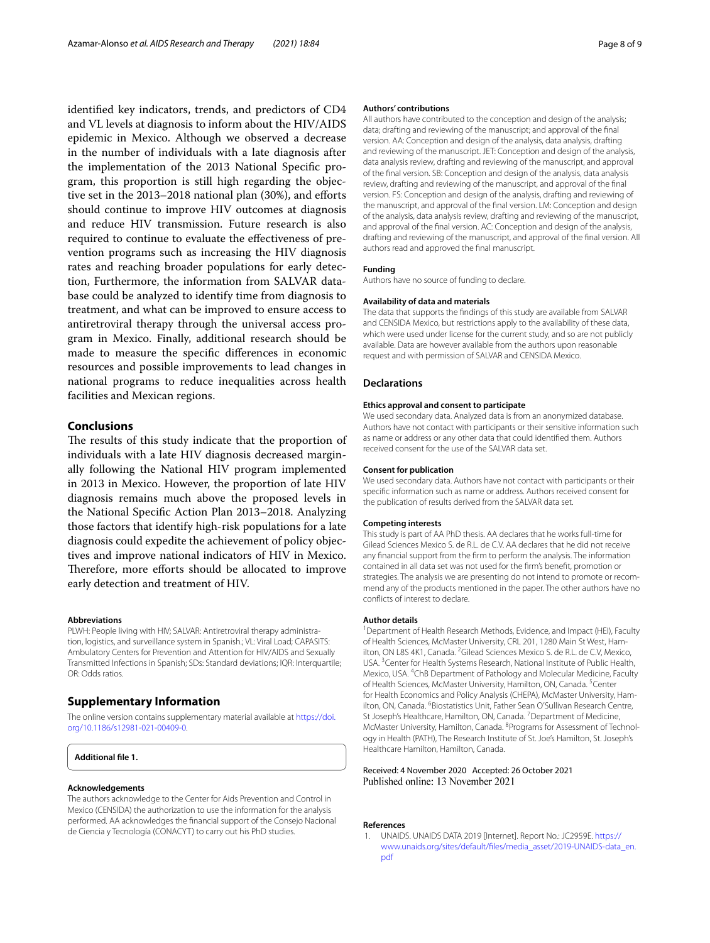identifed key indicators, trends, and predictors of CD4 and VL levels at diagnosis to inform about the HIV/AIDS epidemic in Mexico. Although we observed a decrease in the number of individuals with a late diagnosis after the implementation of the 2013 National Specifc program, this proportion is still high regarding the objective set in the 2013–2018 national plan (30%), and efforts should continue to improve HIV outcomes at diagnosis and reduce HIV transmission. Future research is also required to continue to evaluate the efectiveness of prevention programs such as increasing the HIV diagnosis rates and reaching broader populations for early detection, Furthermore, the information from SALVAR database could be analyzed to identify time from diagnosis to treatment, and what can be improved to ensure access to antiretroviral therapy through the universal access program in Mexico. Finally, additional research should be made to measure the specifc diferences in economic resources and possible improvements to lead changes in national programs to reduce inequalities across health facilities and Mexican regions.

#### **Conclusions**

The results of this study indicate that the proportion of individuals with a late HIV diagnosis decreased marginally following the National HIV program implemented in 2013 in Mexico. However, the proportion of late HIV diagnosis remains much above the proposed levels in the National Specifc Action Plan 2013–2018. Analyzing those factors that identify high-risk populations for a late diagnosis could expedite the achievement of policy objectives and improve national indicators of HIV in Mexico. Therefore, more efforts should be allocated to improve early detection and treatment of HIV.

#### **Abbreviations**

PLWH: People living with HIV; SALVAR: Antiretroviral therapy administration, logistics, and surveillance system in Spanish.; VL: Viral Load; CAPASITS: Ambulatory Centers for Prevention and Attention for HIV/AIDS and Sexually Transmitted Infections in Spanish; SDs: Standard deviations; IQR: Interquartile; OR: Odds ratios.

#### **Supplementary Information**

The online version contains supplementary material available at [https://doi.](https://doi.org/10.1186/s12981-021-00409-0) [org/10.1186/s12981-021-00409-0](https://doi.org/10.1186/s12981-021-00409-0).

#### **Acknowledgements**

The authors acknowledge to the Center for Aids Prevention and Control in Mexico (CENSIDA) the authorization to use the information for the analysis performed. AA acknowledges the fnancial support of the Consejo Nacional de Ciencia y Tecnología (CONACYT) to carry out his PhD studies.

#### **Authors' contributions**

All authors have contributed to the conception and design of the analysis; data; drafting and reviewing of the manuscript; and approval of the fnal version. AA: Conception and design of the analysis, data analysis, drafting and reviewing of the manuscript. JET: Conception and design of the analysis, data analysis review, drafting and reviewing of the manuscript, and approval of the fnal version. SB: Conception and design of the analysis, data analysis review, drafting and reviewing of the manuscript, and approval of the fnal version. FS: Conception and design of the analysis, drafting and reviewing of the manuscript, and approval of the fnal version. LM: Conception and design of the analysis, data analysis review, drafting and reviewing of the manuscript, and approval of the fnal version. AC: Conception and design of the analysis, drafting and reviewing of the manuscript, and approval of the fnal version. All authors read and approved the fnal manuscript.

#### **Funding**

Authors have no source of funding to declare.

#### **Availability of data and materials**

The data that supports the fndings of this study are available from SALVAR and CENSIDA Mexico, but restrictions apply to the availability of these data, which were used under license for the current study, and so are not publicly available. Data are however available from the authors upon reasonable request and with permission of SALVAR and CENSIDA Mexico.

#### **Declarations**

#### **Ethics approval and consent to participate**

We used secondary data. Analyzed data is from an anonymized database. Authors have not contact with participants or their sensitive information such as name or address or any other data that could identifed them. Authors received consent for the use of the SALVAR data set.

#### **Consent for publication**

We used secondary data. Authors have not contact with participants or their specifc information such as name or address. Authors received consent for the publication of results derived from the SALVAR data set.

#### **Competing interests**

This study is part of AA PhD thesis. AA declares that he works full-time for Gilead Sciences Mexico S. de R.L. de C.V. AA declares that he did not receive any fnancial support from the frm to perform the analysis. The information contained in all data set was not used for the frm's beneft, promotion or strategies. The analysis we are presenting do not intend to promote or recommend any of the products mentioned in the paper. The other authors have no conficts of interest to declare.

#### **Author details**

<sup>1</sup> Department of Health Research Methods, Evidence, and Impact (HEI), Faculty of Health Sciences, McMaster University, CRL 201, 1280 Main St West, Hamilton, ON L8S 4K1, Canada. <sup>2</sup> Gilead Sciences Mexico S. de R.L. de C.V, Mexico, USA.<sup>3</sup> Center for Health Systems Research, National Institute of Public Health, Mexico, USA. 4 ChB Department of Pathology and Molecular Medicine, Faculty of Health Sciences, McMaster University, Hamilton, ON, Canada. <sup>5</sup>Center for Health Economics and Policy Analysis (CHEPA), McMaster University, Hamilton, ON, Canada. <sup>6</sup> Biostatistics Unit, Father Sean O'Sullivan Research Centre, St Joseph's Healthcare, Hamilton, ON, Canada. <sup>7</sup> Department of Medicine, McMaster University, Hamilton, Canada. <sup>8</sup> Programs for Assessment of Technology in Health (PATH), The Research Institute of St. Joe's Hamilton, St. Joseph's Healthcare Hamilton, Hamilton, Canada.

# Received: 4 November 2020 Accepted: 26 October 2021

#### **References**

<span id="page-7-0"></span>1. UNAIDS. UNAIDS DATA 2019 [Internet]. Report No.: JC2959E. [https://](https://www.unaids.org/sites/default/files/media_asset/2019-UNAIDS-data_en.pdf) [www.unaids.org/sites/default/fles/media\\_asset/2019-UNAIDS-data\\_en.](https://www.unaids.org/sites/default/files/media_asset/2019-UNAIDS-data_en.pdf) [pdf](https://www.unaids.org/sites/default/files/media_asset/2019-UNAIDS-data_en.pdf)

<span id="page-7-1"></span>**Additional fle 1.**